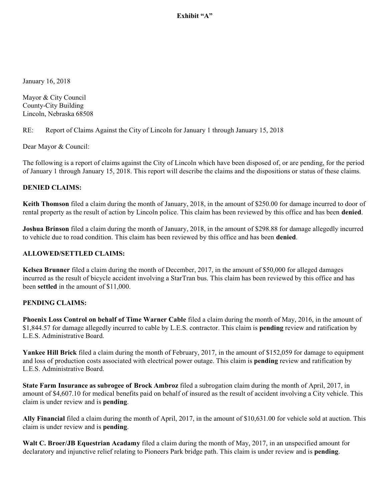Exhibit "A"

January 16, 2018

Mayor & City Council County-City Building Lincoln, Nebraska 68508

RE: Report of Claims Against the City of Lincoln for January 1 through January 15, 2018

Dear Mayor & Council:

The following is a report of claims against the City of Lincoln which have been disposed of, or are pending, for the period of January 1 through January 15, 2018. This report will describe the claims and the dispositions or status of these claims.

### **DENIED CLAIMS:**

**Keith Thomson** filed a claim during the month of January, 2018, in the amount of \$250.00 for damage incurred to door of rental property as the result of action by Lincoln police. This claim has been reviewed by this office and has been **denied**.

**Joshua Brinson** filed a claim during the month of January, 2018, in the amount of \$298.88 for damage allegedly incurred to vehicle due to road condition. This claim has been reviewed by this office and has been **denied**.

#### **ALLOWED/SETTLED CLAIMS:**

**Kelsea Brunner** filed a claim during the month of December, 2017, in the amount of \$50,000 for alleged damages incurred as the result of bicycle accident involving a StarTran bus. This claim has been reviewed by this office and has been **settled** in the amount of \$11,000.

#### **PENDING CLAIMS:**

**Phoenix Loss Control on behalf of Time Warner Cable** filed a claim during the month of May, 2016, in the amount of \$1,844.57 for damage allegedly incurred to cable by L.E.S. contractor. This claim is **pending** review and ratification by L.E.S. Administrative Board.

**Yankee Hill Brick** filed a claim during the month of February, 2017, in the amount of \$152,059 for damage to equipment and loss of production costs associated with electrical power outage. This claim is **pending** review and ratification by L.E.S. Administrative Board.

**State Farm Insurance as subrogee of Brock Ambroz** filed a subrogation claim during the month of April, 2017, in amount of \$4,607.10 for medical benefits paid on behalf of insured as the result of accident involving a City vehicle. This claim is under review and is **pending**.

**Ally Financial** filed a claim during the month of April, 2017, in the amount of \$10,631.00 for vehicle sold at auction. This claim is under review and is **pending**.

**Walt C. Broer/JB Equestrian Acadamy** filed a claim during the month of May, 2017, in an unspecified amount for declaratory and injunctive relief relating to Pioneers Park bridge path. This claim is under review and is **pending**.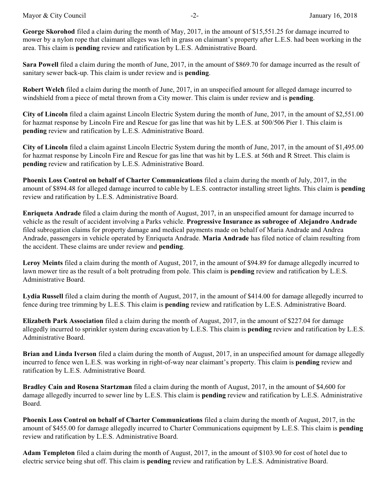Mayor & City Council **and Council**  $-2$ -  $\qquad \qquad$  January 16, 2018

**Sara Powell** filed a claim during the month of June, 2017, in the amount of \$869.70 for damage incurred as the result of sanitary sewer back-up. This claim is under review and is **pending**.

**Robert Welch** filed a claim during the month of June, 2017, in an unspecified amount for alleged damage incurred to windshield from a piece of metal thrown from a City mower. This claim is under review and is **pending**.

**City of Lincoln** filed a claim against Lincoln Electric System during the month of June, 2017, in the amount of \$2,551.00 for hazmat response by Lincoln Fire and Rescue for gas line that was hit by L.E.S. at 500/506 Pier 1. This claim is **pending** review and ratification by L.E.S. Administrative Board.

**City of Lincoln** filed a claim against Lincoln Electric System during the month of June, 2017, in the amount of \$1,495.00 for hazmat response by Lincoln Fire and Rescue for gas line that was hit by L.E.S. at 56th and R Street. This claim is **pending** review and ratification by L.E.S. Administrative Board.

**Phoenix Loss Control on behalf of Charter Communications** filed a claim during the month of July, 2017, in the amount of \$894.48 for alleged damage incurred to cable by L.E.S. contractor installing street lights. This claim is **pending** review and ratification by L.E.S. Administrative Board.

**Enriqueta Andrade** filed a claim during the month of August, 2017, in an unspecified amount for damage incurred to vehicle as the result of accident involving a Parks vehicle. **Progressive Insurance as subrogee of Alejandro Andrade** filed subrogation claims for property damage and medical payments made on behalf of Maria Andrade and Andrea Andrade, passengers in vehicle operated by Enriqueta Andrade. **Maria Andrade** has filed notice of claim resulting from the accident. These claims are under review and **pending**.

**Leroy Meints** filed a claim during the month of August, 2017, in the amount of \$94.89 for damage allegedly incurred to lawn mower tire as the result of a bolt protruding from pole. This claim is **pending** review and ratification by L.E.S. Administrative Board.

**Lydia Russell** filed a claim during the month of August, 2017, in the amount of \$414.00 for damage allegedly incurred to fence during tree trimming by L.E.S. This claim is **pending** review and ratification by L.E.S. Administrative Board.

**Elizabeth Park Association** filed a claim during the month of August, 2017, in the amount of \$227.04 for damage allegedly incurred to sprinkler system during excavation by L.E.S. This claim is **pending** review and ratification by L.E.S. Administrative Board.

**Brian and Linda Iverson** filed a claim during the month of August, 2017, in an unspecified amount for damage allegedly incurred to fence wen L.E.S. was working in right-of-way near claimant's property. This claim is **pending** review and ratification by L.E.S. Administrative Board.

**Bradley Cain and Rosena Startzman** filed a claim during the month of August, 2017, in the amount of \$4,600 for damage allegedly incurred to sewer line by L.E.S. This claim is **pending** review and ratification by L.E.S. Administrative Board.

**Phoenix Loss Control on behalf of Charter Communications** filed a claim during the month of August, 2017, in the amount of \$455.00 for damage allegedly incurred to Charter Communications equipment by L.E.S. This claim is **pending** review and ratification by L.E.S. Administrative Board.

**Adam Templeton** filed a claim during the month of August, 2017, in the amount of \$103.90 for cost of hotel due to electric service being shut off. This claim is **pending** review and ratification by L.E.S. Administrative Board.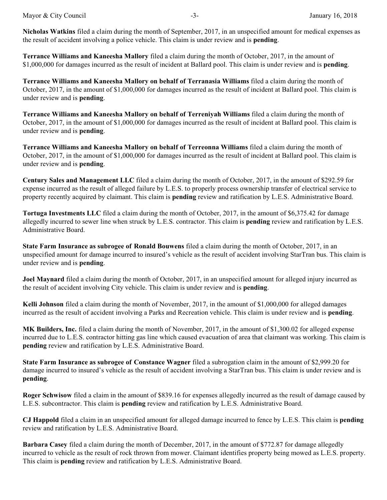**Terrance Williams and Kaneesha Mallory** filed a claim during the month of October, 2017, in the amount of \$1,000,000 for damages incurred as the result of incident at Ballard pool. This claim is under review and is **pending**.

**Terrance Williams and Kaneesha Mallory on behalf of Terranasia Williams** filed a claim during the month of October, 2017, in the amount of \$1,000,000 for damages incurred as the result of incident at Ballard pool. This claim is under review and is **pending**.

**Terrance Williams and Kaneesha Mallory on behalf of Terreniyah Williams** filed a claim during the month of October, 2017, in the amount of \$1,000,000 for damages incurred as the result of incident at Ballard pool. This claim is under review and is **pending**.

**Terrance Williams and Kaneesha Mallory on behalf of Terreonna Williams** filed a claim during the month of October, 2017, in the amount of \$1,000,000 for damages incurred as the result of incident at Ballard pool. This claim is under review and is **pending**.

**Century Sales and Management LLC** filed a claim during the month of October, 2017, in the amount of \$292.59 for expense incurred as the result of alleged failure by L.E.S. to properly process ownership transfer of electrical service to property recently acquired by claimant. This claim is **pending** review and ratification by L.E.S. Administrative Board.

**Tortuga Investments LLC** filed a claim during the month of October, 2017, in the amount of \$6,375.42 for damage allegedly incurred to sewer line when struck by L.E.S. contractor. This claim is **pending** review and ratification by L.E.S. Administrative Board.

**State Farm Insurance as subrogee of Ronald Bouwens** filed a claim during the month of October, 2017, in an unspecified amount for damage incurred to insured's vehicle as the result of accident involving StarTran bus. This claim is under review and is **pending**.

**Joel Maynard** filed a claim during the month of October, 2017, in an unspecified amount for alleged injury incurred as the result of accident involving City vehicle. This claim is under review and is **pending**.

**Kelli Johnson** filed a claim during the month of November, 2017, in the amount of \$1,000,000 for alleged damages incurred as the result of accident involving a Parks and Recreation vehicle. This claim is under review and is **pending**.

**MK Builders, Inc.** filed a claim during the month of November, 2017, in the amount of \$1,300.02 for alleged expense incurred due to L.E.S. contractor hitting gas line which caused evacuation of area that claimant was working. This claim is **pending** review and ratification by L.E.S. Administrative Board.

**State Farm Insurance as subrogee of Constance Wagner** filed a subrogation claim in the amount of \$2,999.20 for damage incurred to insured's vehicle as the result of accident involving a StarTran bus. This claim is under review and is **pending**.

**Roger Schwisow** filed a claim in the amount of \$839.16 for expenses allegedly incurred as the result of damage caused by L.E.S. subcontractor. This claim is **pending** review and ratification by L.E.S. Administrative Board.

**CJ Happold** filed a claim in an unspecified amount for alleged damage incurred to fence by L.E.S. This claim is **pending** review and ratification by L.E.S. Administrative Board.

**Barbara Casey** filed a claim during the month of December, 2017, in the amount of \$772.87 for damage allegedly incurred to vehicle as the result of rock thrown from mower. Claimant identifies property being mowed as L.E.S. property. This claim is **pending** review and ratification by L.E.S. Administrative Board.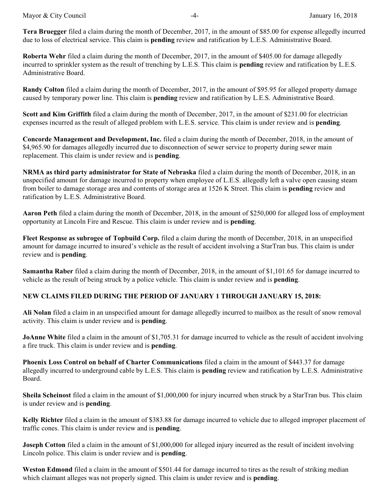**Tera Bruegger** filed a claim during the month of December, 2017, in the amount of \$85.00 for expense allegedly incurred due to loss of electrical service. This claim is **pending** review and ratification by L.E.S. Administrative Board.

**Roberta Wehr** filed a claim during the month of December, 2017, in the amount of \$405.00 for damage allegedly incurred to sprinkler system as the result of trenching by L.E.S. This claim is **pending** review and ratification by L.E.S. Administrative Board.

**Randy Colton** filed a claim during the month of December, 2017, in the amount of \$95.95 for alleged property damage caused by temporary power line. This claim is **pending** review and ratification by L.E.S. Administrative Board.

**Scott and Kim Griffith** filed a claim during the month of December, 2017, in the amount of \$231.00 for electrician expenses incurred as the result of alleged problem with L.E.S. service. This claim is under review and is **pending**.

**Concorde Management and Development, Inc.** filed a claim during the month of December, 2018, in the amount of \$4,965.90 for damages allegedly incurred due to disconnection of sewer service to property during sewer main replacement. This claim is under review and is **pending**.

**NRMA as third party administrator for State of Nebraska** filed a claim during the month of December, 2018, in an unspecified amount for damage incurred to property when employee of L.E.S. allegedly left a valve open causing steam from boiler to damage storage area and contents of storage area at 1526 K Street. This claim is **pending** review and ratification by L.E.S. Administrative Board.

**Aaron Peth** filed a claim during the month of December, 2018, in the amount of \$250,000 for alleged loss of employment opportunity at Lincoln Fire and Rescue. This claim is under review and is **pending**.

**Fleet Response as subrogee of Topbuild Corp.** filed a claim during the month of December, 2018, in an unspecified amount for damage incurred to insured's vehicle as the result of accident involving a StarTran bus. This claim is under review and is **pending**.

**Samantha Raber** filed a claim during the month of December, 2018, in the amount of \$1,101.65 for damage incurred to vehicle as the result of being struck by a police vehicle. This claim is under review and is **pending**.

## **NEW CLAIMS FILED DURING THE PERIOD OF JANUARY 1 THROUGH JANUARY 15, 2018:**

**Ali Nolan** filed a claim in an unspecified amount for damage allegedly incurred to mailbox as the result of snow removal activity. This claim is under review and is **pending**.

**JoAnne White** filed a claim in the amount of \$1,705.31 for damage incurred to vehicle as the result of accident involving a fire truck. This claim is under review and is **pending**.

**Phoenix Loss Control on behalf of Charter Communications** filed a claim in the amount of \$443.37 for damage allegedly incurred to underground cable by L.E.S. This claim is **pending** review and ratification by L.E.S. Administrative Board.

**Sheila Scheinost** filed a claim in the amount of \$1,000,000 for injury incurred when struck by a StarTran bus. This claim is under review and is **pending**.

**Kelly Richter** filed a claim in the amount of \$383.88 for damage incurred to vehicle due to alleged improper placement of traffic cones. This claim is under review and is **pending**.

**Joseph Cotton** filed a claim in the amount of \$1,000,000 for alleged injury incurred as the result of incident involving Lincoln police. This claim is under review and is **pending**.

**Weston Edmond** filed a claim in the amount of \$501.44 for damage incurred to tires as the result of striking median which claimant alleges was not properly signed. This claim is under review and is **pending**.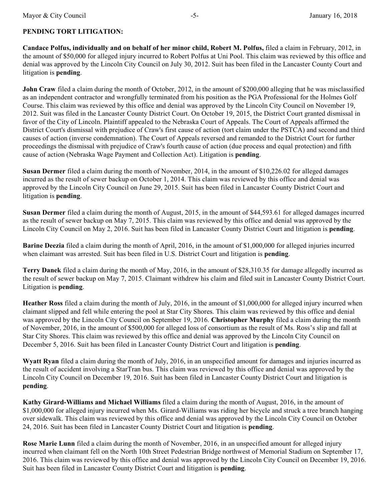# **PENDING TORT LITIGATION:**

**Candace Polfus, individually and on behalf of her minor child, Robert M. Polfus,** filed a claim in February, 2012, in the amount of \$50,000 for alleged injury incurred to Robert Polfus at Uni Pool. This claim was reviewed by this office and denial was approved by the Lincoln City Council on July 30, 2012. Suit has been filed in the Lancaster County Court and litigation is **pending**.

**John Craw** filed a claim during the month of October, 2012, in the amount of \$200,000 alleging that he was misclassified as an independent contractor and wrongfully terminated from his position as the PGA Professional for the Holmes Golf Course. This claim was reviewed by this office and denial was approved by the Lincoln City Council on November 19, 2012. Suit was filed in the Lancaster County District Court. On October 19, 2015, the District Court granted dismissal in favor of the City of Lincoln. Plaintiff appealed to the Nebraska Court of Appeals. The Court of Appeals affirmed the District Court's dismissal with prejudice of Craw's first cause of action (tort claim under the PSTCA) and second and third causes of action (inverse condemnation). The Court of Appeals reversed and remanded to the District Court for further proceedings the dismissal with prejudice of Craw's fourth cause of action (due process and equal protection) and fifth cause of action (Nebraska Wage Payment and Collection Act). Litigation is **pending**.

**Susan Dermer** filed a claim during the month of November, 2014, in the amount of \$10,226.02 for alleged damages incurred as the result of sewer backup on October 1, 2014. This claim was reviewed by this office and denial was approved by the Lincoln City Council on June 29, 2015. Suit has been filed in Lancaster County District Court and litigation is **pending**.

**Susan Dermer** filed a claim during the month of August, 2015, in the amount of \$44,593.61 for alleged damages incurred as the result of sewer backup on May 7, 2015. This claim was reviewed by this office and denial was approved by the Lincoln City Council on May 2, 2016. Suit has been filed in Lancaster County District Court and litigation is **pending**.

**Barine Deezia** filed a claim during the month of April, 2016, in the amount of \$1,000,000 for alleged injuries incurred when claimant was arrested. Suit has been filed in U.S. District Court and litigation is **pending**.

**Terry Danek** filed a claim during the month of May, 2016, in the amount of \$28,310.35 for damage allegedly incurred as the result of sewer backup on May 7, 2015. Claimant withdrew his claim and filed suit in Lancaster County District Court. Litigation is **pending**.

**Heather Ross** filed a claim during the month of July, 2016, in the amount of \$1,000,000 for alleged injury incurred when claimant slipped and fell while entering the pool at Star City Shores. This claim was reviewed by this office and denial was approved by the Lincoln City Council on September 19, 2016. **Christopher Murphy** filed a claim during the month of November, 2016, in the amount of \$500,000 for alleged loss of consortium as the result of Ms. Ross's slip and fall at Star City Shores. This claim was reviewed by this office and denial was approved by the Lincoln City Council on December 5, 2016. Suit has been filed in Lancaster County District Court and litigation is **pending**.

**Wyatt Ryan** filed a claim during the month of July, 2016, in an unspecified amount for damages and injuries incurred as the result of accident involving a StarTran bus. This claim was reviewed by this office and denial was approved by the Lincoln City Council on December 19, 2016. Suit has been filed in Lancaster County District Court and litigation is **pending**.

**Kathy Girard-Williams and Michael Williams** filed a claim during the month of August, 2016, in the amount of \$1,000,000 for alleged injury incurred when Ms. Girard-Williams was riding her bicycle and struck a tree branch hanging over sidewalk. This claim was reviewed by this office and denial was approved by the Lincoln City Council on October 24, 2016. Suit has been filed in Lancaster County District Court and litigation is **pending**.

**Rose Marie Lunn** filed a claim during the month of November, 2016, in an unspecified amount for alleged injury incurred when claimant fell on the North 10th Street Pedestrian Bridge northwest of Memorial Stadium on September 17, 2016. This claim was reviewed by this office and denial was approved by the Lincoln City Council on December 19, 2016. Suit has been filed in Lancaster County District Court and litigation is **pending**.